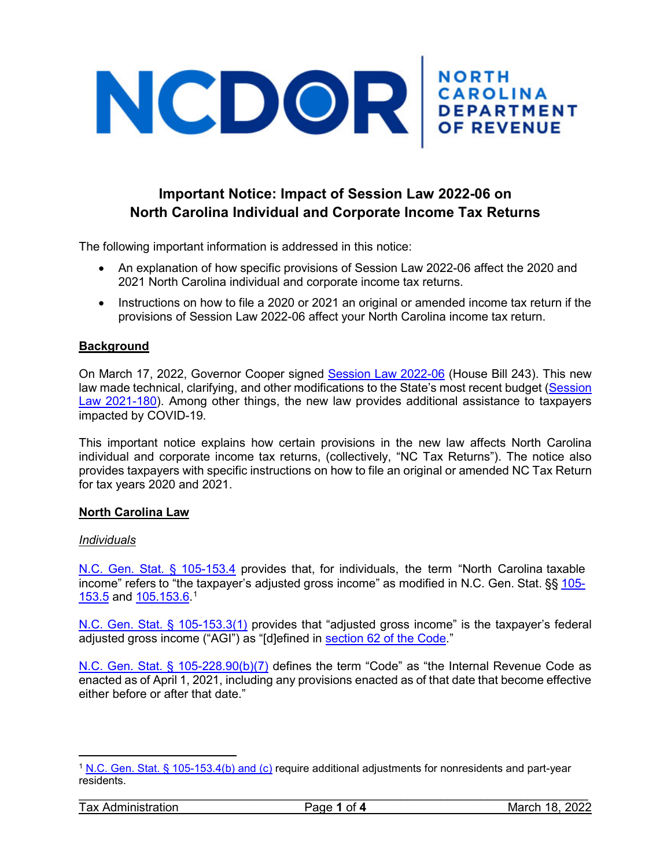# NCDOR CAROLINA

# **Important Notice: Impact of Session Law 2022-06 on North Carolina Individual and Corporate Income Tax Returns**

The following important information is addressed in this notice:

- An explanation of how specific provisions of Session Law 2022-06 affect the 2020 and 2021 North Carolina individual and corporate income tax returns.
- Instructions on how to file a 2020 or 2021 an original or amended income tax return if the provisions of Session Law 2022-06 affect your North Carolina income tax return.

# **Background**

On March 17, 2022, Governor Cooper signed [Session Law 2022-06](https://www.ncleg.gov/BillLookUp/2021/h%20243) (House Bill 243). This new law made technical, clarifying, and other modifications to the State's most recent budget [\(Session](https://ncleg.gov/EnactedLegislation/SessionLaws/PDF/2021-2022/SL2021-180.pdf)  [Law 2021-180\)](https://ncleg.gov/EnactedLegislation/SessionLaws/PDF/2021-2022/SL2021-180.pdf). Among other things, the new law provides additional assistance to taxpayers impacted by COVID-19.

This important notice explains how certain provisions in the new law affects North Carolina individual and corporate income tax returns, (collectively, "NC Tax Returns"). The notice also provides taxpayers with specific instructions on how to file an original or amended NC Tax Return for tax years 2020 and 2021.

# **North Carolina Law**

# *Individuals*

N.C. Gen. Stat. § [105-153.4](https://www.ncleg.gov/EnactedLegislation/Statutes/HTML/BySection/Chapter_105/GS_105-153.4.html) provides that, for individuals, the term "North Carolina taxable income" refers to "the taxpayer's adjusted gross income" as modified in N.C. Gen. Stat. §§ [105-](https://www.ncleg.gov/EnactedLegislation/Statutes/HTML/BySection/Chapter_105/GS_105-153.5.html) <u>[153.5](https://www.ncleg.gov/EnactedLegislation/Statutes/HTML/BySection/Chapter_105/GS_105-153.5.html)</u> and <u>[1](#page-0-0)05.153.6</u>.1

[N.C. Gen. Stat. § 105-153.3\(1\)](https://www.ncleg.gov/EnactedLegislation/Statutes/HTML/BySection/Chapter_105/GS_105-153.3.html) provides that "adjusted gross income" is the taxpayer's federal adjusted gross income ("AGI") as "[d]efined in [section 62 of the Code.](https://www.law.cornell.edu/uscode/text/26/62)"

[N.C. Gen. Stat. § 105-228.90\(b\)\(7\)](https://www.ncleg.gov/EnactedLegislation/Statutes/HTML/BySection/Chapter_105/GS_105-228.90.html) defines the term "Code" as "the Internal Revenue Code as enacted as of April 1, 2021, including any provisions enacted as of that date that become effective either before or after that date."

l

<span id="page-0-0"></span><sup>1</sup> [N.C. Gen. Stat. § 105-153.4\(b\) and \(c\)](https://www.ncleg.gov/EnactedLegislation/Statutes/HTML/BySection/Chapter_105/GS_105-153.4.html) require additional adjustments for nonresidents and part-year residents.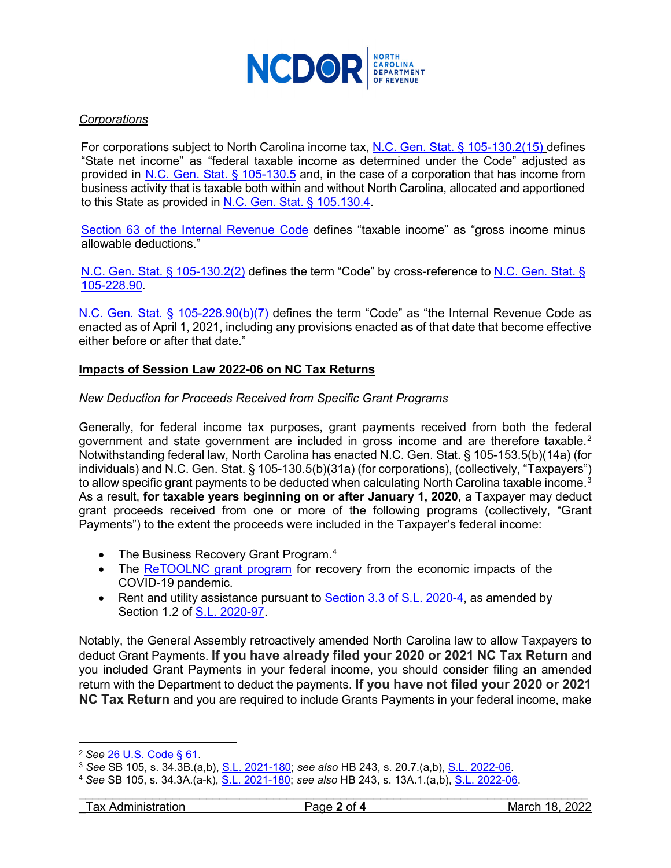

# *Corporations*

For corporations subject to North Carolina income tax, [N.C. Gen. Stat. § 105-130.2\(15\)](https://www.ncleg.gov/EnactedLegislation/Statutes/HTML/BySection/Chapter_105/GS_105-130.2.html) defines "State net income" as "federal taxable income as determined under the Code" adjusted as provided in N.C. [Gen. Stat.](https://www.ncleg.gov/EnactedLegislation/Statutes/HTML/BySection/Chapter_105/GS_105-130.5.html) § 105-130.5 and, in the case of a corporation that has income from business activity that is taxable both within and without North Carolina, allocated and apportioned to this State as provided in [N.C. Gen. Stat. § 105.130.4.](https://www.ncleg.gov/EnactedLegislation/Statutes/HTML/BySection/Chapter_105/GS_105-130.4.html)

[Section 63 of the Internal Revenue Code](https://www.law.cornell.edu/uscode/text/26/63) defines "taxable income" as "gross income minus allowable deductions."

[N.C. Gen. Stat. § 105-130.2\(2\)](https://www.ncleg.gov/EnactedLegislation/Statutes/HTML/BySection/Chapter_105/GS_105-130.2.html) defines the term "Code" by cross-reference to [N.C. Gen. Stat. §](https://www.ncleg.gov/EnactedLegislation/Statutes/HTML/BySection/Chapter_105/GS_105-228.90.html)  [105-228.90.](https://www.ncleg.gov/EnactedLegislation/Statutes/HTML/BySection/Chapter_105/GS_105-228.90.html)

[N.C. Gen. Stat. § 105-228.90\(b\)\(7\)](https://www.ncleg.gov/EnactedLegislation/Statutes/HTML/BySection/Chapter_105/GS_105-228.90.html) defines the term "Code" as "the Internal Revenue Code as enacted as of April 1, 2021, including any provisions enacted as of that date that become effective either before or after that date."

#### **Impacts of Session Law 2022-06 on NC Tax Returns**

#### *New Deduction for Proceeds Received from Specific Grant Programs*

Generally, for federal income tax purposes, grant payments received from both the federal government and state government are included in gross income and are therefore taxable. [2](#page-1-0) Notwithstanding federal law, North Carolina has enacted N.C. Gen. Stat. § 105-153.5(b)(14a) (for individuals) and N.C. Gen. Stat. § 105-130.5(b)(31a) (for corporations), (collectively, "Taxpayers") to allow specific grant payments to be deducted when calculating North Carolina taxable income. $^3$  $^3$ As a result, **for taxable years beginning on or after January 1, 2020,** a Taxpayer may deduct grant proceeds received from one or more of the following programs (collectively, "Grant Payments") to the extent the proceeds were included in the Taxpayer's federal income:

- The Business Recovery Grant Program.<sup>[4](#page-1-2)</sup>
- The [ReTOOLNC grant program](https://theinstitutenc.org/retoolnc/) for recovery from the economic impacts of the COVID-19 pandemic.
- Rent and utility assistance pursuant to [Section 3.3 of S.L. 2020-4,](https://www.ncleg.gov/EnactedLegislation/SessionLaws/HTML/2019-2020/SL2020-4.html) as amended by Section 1.2 of [S.L. 2020-97.](https://ncleg.gov/EnactedLegislation/SessionLaws/HTML/2019-2020/SL2020-97.html)

Notably, the General Assembly retroactively amended North Carolina law to allow Taxpayers to deduct Grant Payments. **If you have already filed your 2020 or 2021 NC Tax Return** and you included Grant Payments in your federal income, you should consider filing an amended return with the Department to deduct the payments. **If you have not filed your 2020 or 2021 NC Tax Return** and you are required to include Grants Payments in your federal income, make

 $\overline{\phantom{a}}$ 

<span id="page-1-0"></span><sup>2</sup> *See* [26 U.S. Code § 61.](https://www.law.cornell.edu/uscode/text/26/61) 3 *See* SB 105, s. 34.3B.(a,b), [S.L. 2021-180;](https://ncleg.gov/EnactedLegislation/SessionLaws/PDF/2021-2022/SL2021-180.pdf) *see also* HB 243, s. 20.7.(a,b), [S.L. 2022-06.](https://www.ncleg.gov/BillLookUp/2021/h%20243)

<span id="page-1-2"></span><span id="page-1-1"></span><sup>4</sup> *See* SB 105, s. 34.3A.(a-k), [S.L. 2021-180;](https://ncleg.gov/EnactedLegislation/SessionLaws/PDF/2021-2022/SL2021-180.pdf) *see also* HB 243, s. 13A.1.(a,b), [S.L. 2022-06.](https://www.ncleg.gov/BillLookUp/2021/h%20243)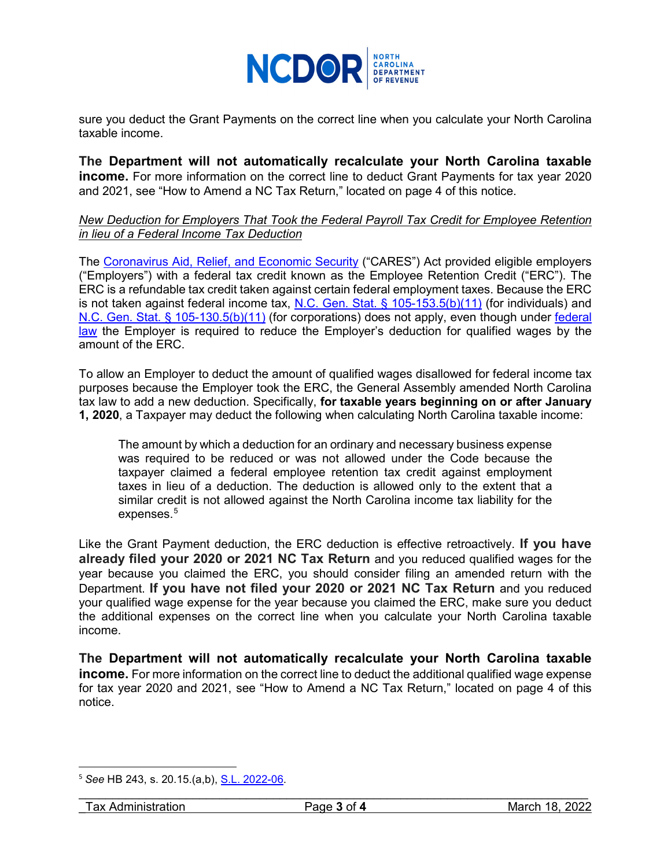

sure you deduct the Grant Payments on the correct line when you calculate your North Carolina taxable income.

**The Department will not automatically recalculate your North Carolina taxable income.** For more information on the correct line to deduct Grant Payments for tax year 2020 and 2021, see "How to Amend a NC Tax Return," located on page 4 of this notice.

# *New Deduction for Employers That Took the Federal Payroll Tax Credit for Employee Retention in lieu of a Federal Income Tax Deduction*

The [Coronavirus Aid, Relief, and Economic Security](https://www.congress.gov/bill/116th-congress/house-bill/748/text) ("CARES") Act provided eligible employers ("Employers") with a federal tax credit known as the Employee Retention Credit ("ERC"). The ERC is a refundable tax credit taken against certain federal employment taxes. Because the ERC is not taken against federal income tax, [N.C. Gen. Stat. § 105-153.5\(b\)\(11\)](https://www.ncleg.gov/EnactedLegislation/Statutes/HTML/BySection/Chapter_105/GS_105-153.5.html) (for individuals) and [N.C. Gen. Stat. § 105-130.5\(b\)\(11\)](https://www.ncleg.gov/EnactedLegislation/Statutes/HTML/BySection/Chapter_105/GS_105-130.5.html) (for corporations) does not apply, even though under [federal](https://www.law.cornell.edu/uscode/text/26/280C)  [law](https://www.law.cornell.edu/uscode/text/26/280C) the Employer is required to reduce the Employer's deduction for qualified wages by the amount of the ERC.

To allow an Employer to deduct the amount of qualified wages disallowed for federal income tax purposes because the Employer took the ERC, the General Assembly amended North Carolina tax law to add a new deduction. Specifically, **for taxable years beginning on or after January 1, 2020**, a Taxpayer may deduct the following when calculating North Carolina taxable income:

The amount by which a deduction for an ordinary and necessary business expense was required to be reduced or was not allowed under the Code because the taxpayer claimed a federal employee retention tax credit against employment taxes in lieu of a deduction. The deduction is allowed only to the extent that a similar credit is not allowed against the North Carolina income tax liability for the expenses. [5](#page-2-0)

Like the Grant Payment deduction, the ERC deduction is effective retroactively. **If you have already filed your 2020 or 2021 NC Tax Return** and you reduced qualified wages for the year because you claimed the ERC, you should consider filing an amended return with the Department. **If you have not filed your 2020 or 2021 NC Tax Return** and you reduced your qualified wage expense for the year because you claimed the ERC, make sure you deduct the additional expenses on the correct line when you calculate your North Carolina taxable income.

**The Department will not automatically recalculate your North Carolina taxable income.** For more information on the correct line to deduct the additional qualified wage expense for tax year 2020 and 2021, see "How to Amend a NC Tax Return," located on page 4 of this notice.

<span id="page-2-0"></span> <sup>5</sup> *See* HB 243, s. 20.15.(a,b), [S.L. 2022-06.](https://www.ncleg.gov/BillLookUp/2021/h%20243)